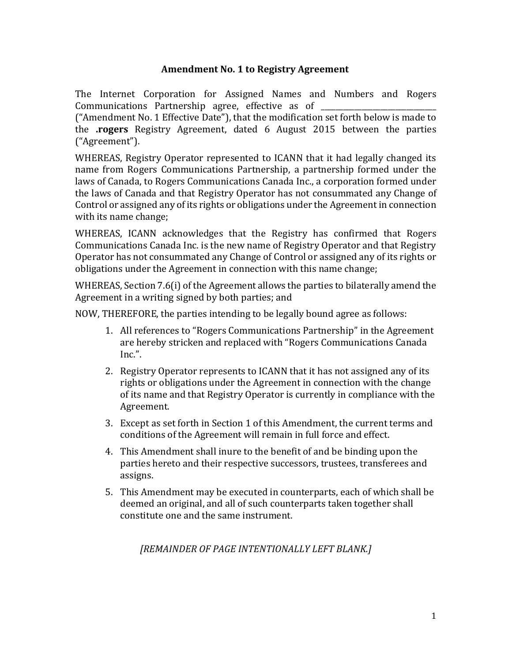## **Amendment No. 1 to Registry Agreement**

The Internet Corporation for Assigned Names and Numbers and Rogers Communications Partnership agree, effective as of \_\_\_\_\_\_\_\_\_\_\_\_\_\_\_\_\_\_\_\_\_\_\_\_\_\_\_\_\_\_\_

("Amendment No. 1 Effective Date"), that the modification set forth below is made to the **.rogers** Registry Agreement, dated 6 August 2015 between the parties ("Agreement").

WHEREAS, Registry Operator represented to ICANN that it had legally changed its name from Rogers Communications Partnership, a partnership formed under the laws of Canada, to Rogers Communications Canada Inc., a corporation formed under the laws of Canada and that Registry Operator has not consummated any Change of Control or assigned any of its rights or obligations under the Agreement in connection with its name change;

WHEREAS, ICANN acknowledges that the Registry has confirmed that Rogers Communications Canada Inc. is the new name of Registry Operator and that Registry Operator has not consummated any Change of Control or assigned any of its rights or obligations under the Agreement in connection with this name change;

WHEREAS, Section 7.6(i) of the Agreement allows the parties to bilaterally amend the Agreement in a writing signed by both parties; and

NOW, THEREFORE, the parties intending to be legally bound agree as follows:

- 1. All references to "Rogers Communications Partnership" in the Agreement are hereby stricken and replaced with "Rogers Communications Canada Inc.".
- 2. Registry Operator represents to ICANN that it has not assigned any of its rights or obligations under the Agreement in connection with the change of its name and that Registry Operator is currently in compliance with the Agreement.
- 3. Except as set forth in Section 1 of this Amendment, the current terms and conditions of the Agreement will remain in full force and effect.
- 4. This Amendment shall inure to the benefit of and be binding upon the parties hereto and their respective successors, trustees, transferees and assigns.
- 5. This Amendment may be executed in counterparts, each of which shall be deemed an original, and all of such counterparts taken together shall constitute one and the same instrument.

*[REMAINDER OF PAGE INTENTIONALLY LEFT BLANK.]*